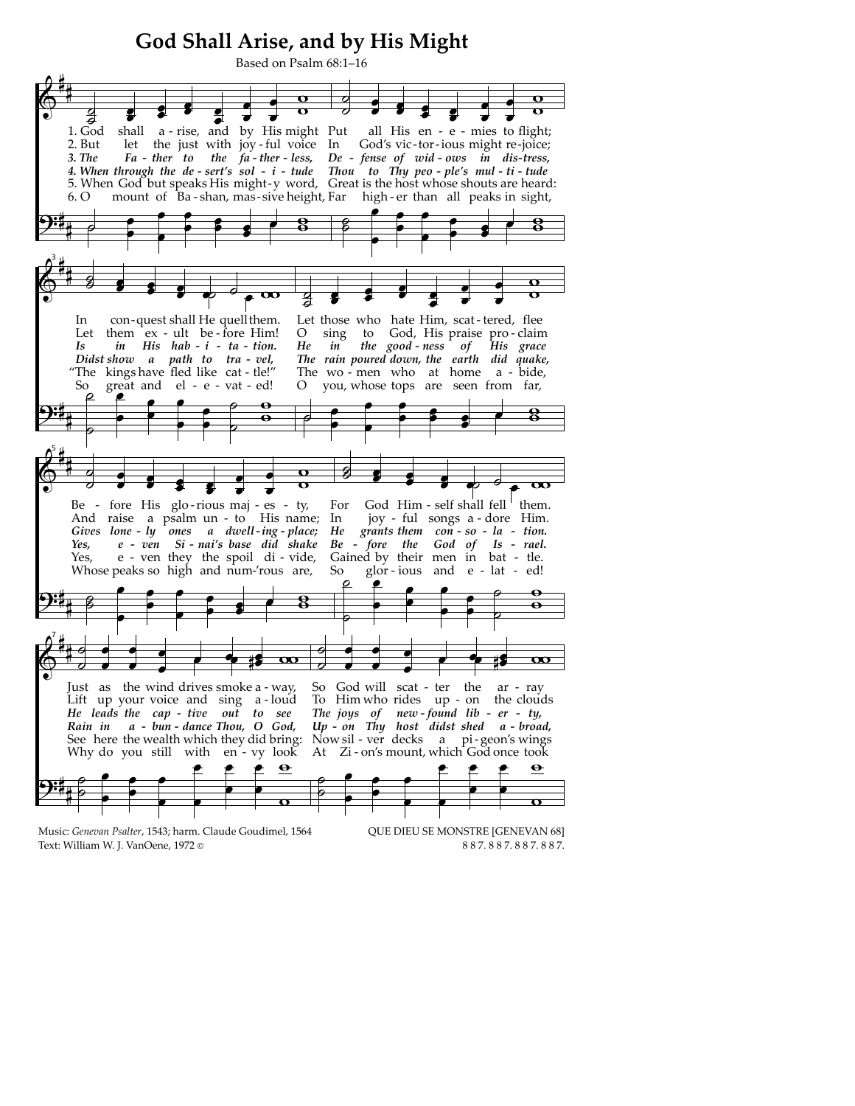## God Shall Arise, and by His Might

Based on Psalm 68:1-16 1. God shall a - rise, and by His might Put all His en - e - mies to flight; 2. But let the just with joy-ful voice In God's vic-tor-ious might re-joice;  $3.$  The Fa - ther to the fa-ther-less, De - fense of wid-ows in dis-tress, 4. When through the de-sert's sol -  $i$  - tude Thou to Thy peo-ple's mul-ti-tude<br>5. When God but speaks His might-y word, Great is the host whose shouts are heard: mount of Ba-shan, mas-sive height, Far high-er than all peaks in sight, 6. O  $\overline{\mathbf{C}}$ Let those who hate Him, scat-tered, flee In con-quest shall He quell them. O sing to God, His praise pro-claim Let them ex - ult be - fore Him! Is in His hab - i - ta - tion.<br>Didst show a path to tra - vel,  $\boldsymbol{He}$ the good-ness of His grace  $in$ The rain poured down, the earth did quake, "The kings have fled like cat - tle!" The wo-men who at home a - bide, great and el - e - vat - ed! So  $\overline{O}$ you, whose tops are seen from far,  $\mathbf \sigma$  $\Omega$ God Him - self shall fell  $\vert$  them. Be - fore His glo-rious maj - es - ty, For And raise a psalm un - to His name; joy - ful songs a - dore Him. In Gives lone - ly ones a dwell-ing-place;  $He$ grants them  $con-so$  -  $la$  - tion. e - ven Si - nai's base did shake fore the God of Is - rael.  $Be -$ Yes, e - ven they the spoil di - vide, Gained by their men in bat - tle. Yes. Whose peaks so high and num-'rous are, So glor-ious and e-lat-ed!  $\overline{\mathbf{C}}$ Just as the wind drives smoke a - way, So God will scat - ter the  $ar - rav$ Lift up your voice and sing a-loud To Him who rides up - on the clouds He leads the cap - tive out to see The joys of new-found lib - er - ty,  $Up - on$  Thy host didst shed  $a - broad$ , Rain in a - bun - dance Thou, O God, See here the wealth which they did bring: Now sil - ver decks a pi-geon's wings At Zi-on's mount, which God once took Why do you still with en - vy look



Music: Genevan Psalter, 1543; harm. Claude Goudimel, 1564 Text: William W. J. VanOene, 1972 ©

QUE DIEU SE MONSTRE [GENEVAN 68] 887.887.887.887.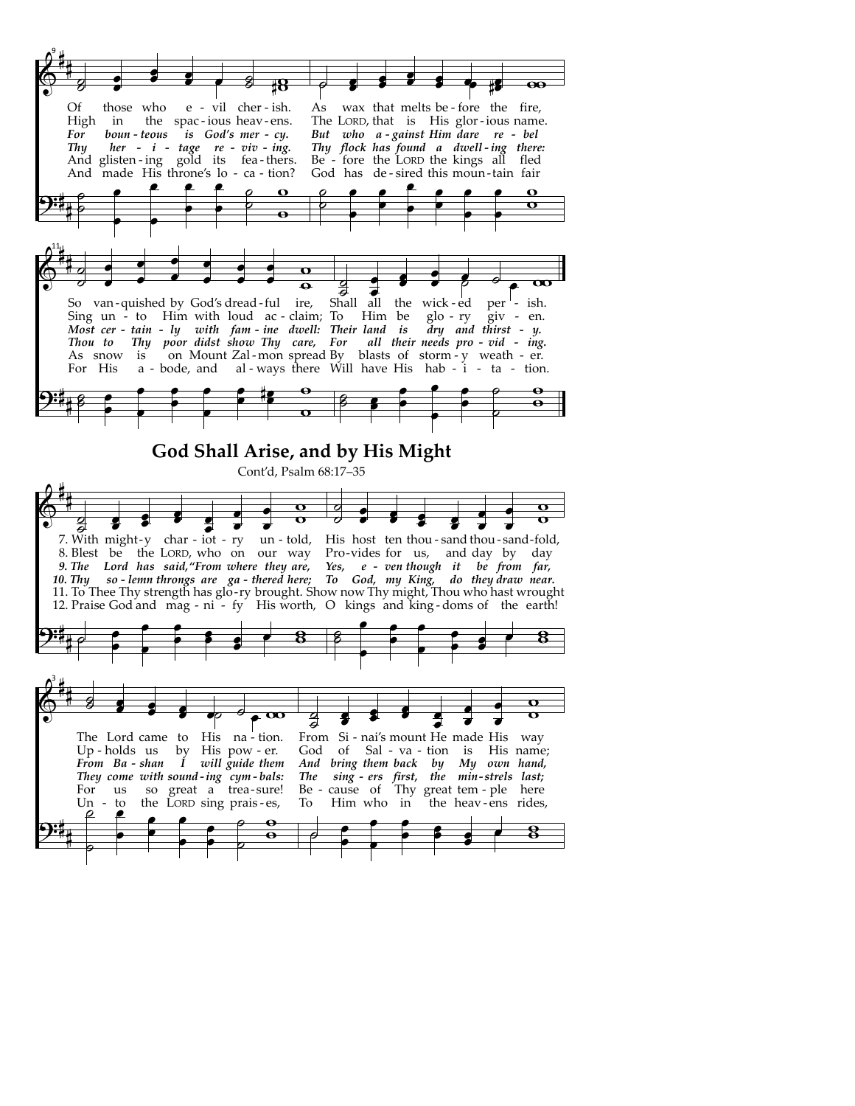